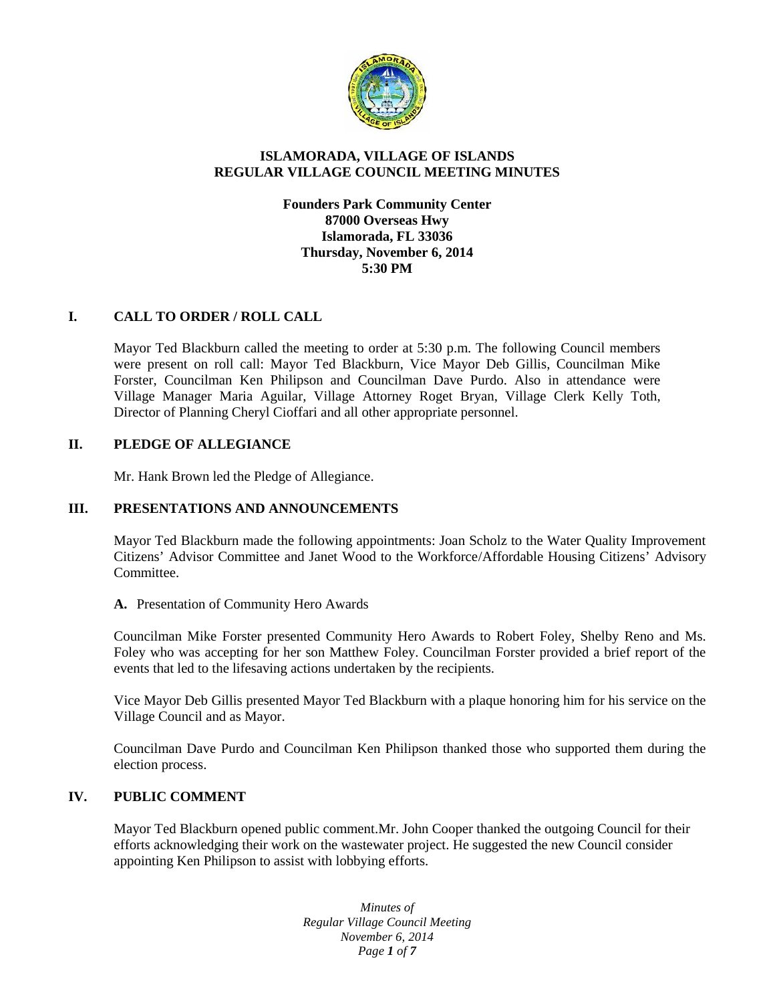

## **ISLAMORADA, VILLAGE OF ISLANDS REGULAR VILLAGE COUNCIL MEETING MINUTES**

## **Founders Park Community Center 87000 Overseas Hwy Islamorada, FL 33036 Thursday, November 6, 2014 5:30 PM**

## **I. CALL TO ORDER / ROLL CALL**

Mayor Ted Blackburn called the meeting to order at 5:30 p.m. The following Council members were present on roll call: Mayor Ted Blackburn, Vice Mayor Deb Gillis, Councilman Mike Forster, Councilman Ken Philipson and Councilman Dave Purdo. Also in attendance were Village Manager Maria Aguilar, Village Attorney Roget Bryan, Village Clerk Kelly Toth, Director of Planning Cheryl Cioffari and all other appropriate personnel.

#### **II. PLEDGE OF ALLEGIANCE**

Mr. Hank Brown led the Pledge of Allegiance.

#### **III. PRESENTATIONS AND ANNOUNCEMENTS**

Mayor Ted Blackburn made the following appointments: Joan Scholz to the Water Quality Improvement Citizens' Advisor Committee and Janet Wood to the Workforce/Affordable Housing Citizens' Advisory Committee.

**A.** Presentation of Community Hero Awards

Councilman Mike Forster presented Community Hero Awards to Robert Foley, Shelby Reno and Ms. Foley who was accepting for her son Matthew Foley. Councilman Forster provided a brief report of the events that led to the lifesaving actions undertaken by the recipients.

Vice Mayor Deb Gillis presented Mayor Ted Blackburn with a plaque honoring him for his service on the Village Council and as Mayor.

Councilman Dave Purdo and Councilman Ken Philipson thanked those who supported them during the election process.

## **IV. PUBLIC COMMENT**

Mayor Ted Blackburn opened public comment.Mr. John Cooper thanked the outgoing Council for their efforts acknowledging their work on the wastewater project. He suggested the new Council consider appointing Ken Philipson to assist with lobbying efforts.

> *Minutes of Regular Village Council Meeting November 6, 2014 Page 1 of 7*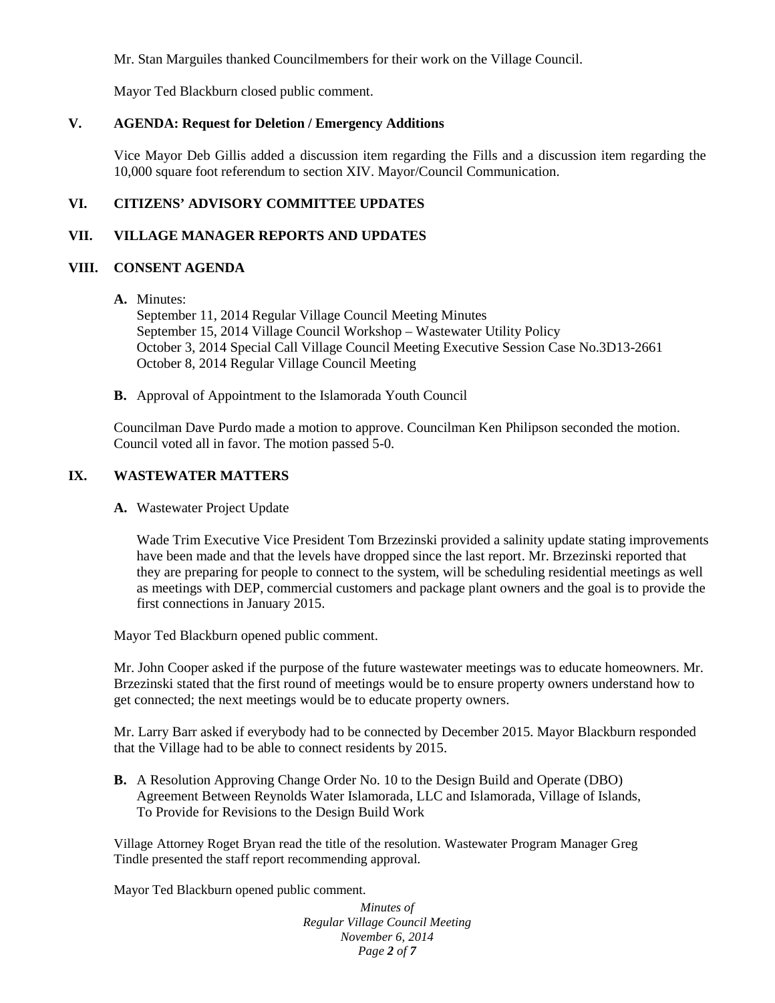Mr. Stan Marguiles thanked Councilmembers for their work on the Village Council.

Mayor Ted Blackburn closed public comment.

## **V. AGENDA: Request for Deletion / Emergency Additions**

Vice Mayor Deb Gillis added a discussion item regarding the Fills and a discussion item regarding the 10,000 square foot referendum to section XIV. Mayor/Council Communication.

# **VI. CITIZENS' ADVISORY COMMITTEE UPDATES**

## **VII. VILLAGE MANAGER REPORTS AND UPDATES**

## **VIII. CONSENT AGENDA**

**A.** Minutes:

September 11, 2014 Regular Village Council Meeting Minutes September 15, 2014 Village Council Workshop – Wastewater Utility Policy October 3, 2014 Special Call Village Council Meeting Executive Session Case No.3D13-2661 October 8, 2014 Regular Village Council Meeting

**B.** Approval of Appointment to the Islamorada Youth Council

Councilman Dave Purdo made a motion to approve. Councilman Ken Philipson seconded the motion. Council voted all in favor. The motion passed 5-0.

## **IX. WASTEWATER MATTERS**

**A.** Wastewater Project Update

Wade Trim Executive Vice President Tom Brzezinski provided a salinity update stating improvements have been made and that the levels have dropped since the last report. Mr. Brzezinski reported that they are preparing for people to connect to the system, will be scheduling residential meetings as well as meetings with DEP, commercial customers and package plant owners and the goal is to provide the first connections in January 2015.

Mayor Ted Blackburn opened public comment.

Mr. John Cooper asked if the purpose of the future wastewater meetings was to educate homeowners. Mr. Brzezinski stated that the first round of meetings would be to ensure property owners understand how to get connected; the next meetings would be to educate property owners.

Mr. Larry Barr asked if everybody had to be connected by December 2015. Mayor Blackburn responded that the Village had to be able to connect residents by 2015.

**B.** A Resolution Approving Change Order No. 10 to the Design Build and Operate (DBO) Agreement Between Reynolds Water Islamorada, LLC and Islamorada, Village of Islands, To Provide for Revisions to the Design Build Work

Village Attorney Roget Bryan read the title of the resolution. Wastewater Program Manager Greg Tindle presented the staff report recommending approval.

Mayor Ted Blackburn opened public comment.

*Minutes of Regular Village Council Meeting November 6, 2014 Page 2 of 7*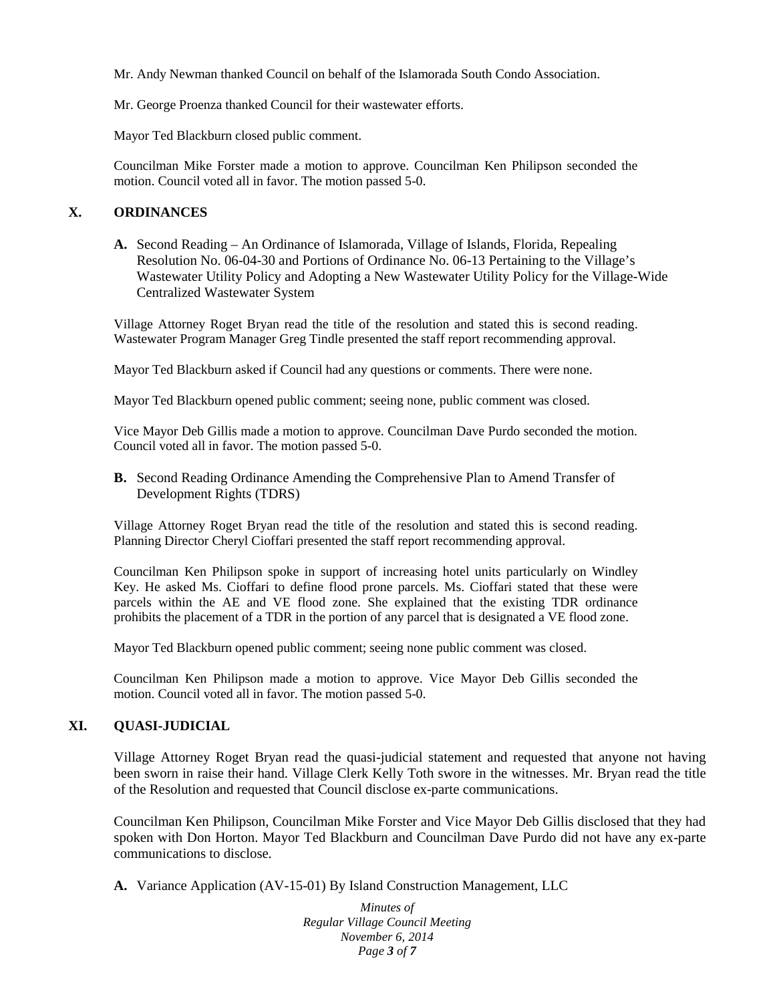Mr. Andy Newman thanked Council on behalf of the Islamorada South Condo Association.

Mr. George Proenza thanked Council for their wastewater efforts.

Mayor Ted Blackburn closed public comment.

Councilman Mike Forster made a motion to approve. Councilman Ken Philipson seconded the motion. Council voted all in favor. The motion passed 5-0.

## **X. ORDINANCES**

**A.** Second Reading – An Ordinance of Islamorada, Village of Islands, Florida, Repealing Resolution No. 06-04-30 and Portions of Ordinance No. 06-13 Pertaining to the Village's Wastewater Utility Policy and Adopting a New Wastewater Utility Policy for the Village-Wide Centralized Wastewater System

Village Attorney Roget Bryan read the title of the resolution and stated this is second reading. Wastewater Program Manager Greg Tindle presented the staff report recommending approval.

Mayor Ted Blackburn asked if Council had any questions or comments. There were none.

Mayor Ted Blackburn opened public comment; seeing none, public comment was closed.

Vice Mayor Deb Gillis made a motion to approve. Councilman Dave Purdo seconded the motion. Council voted all in favor. The motion passed 5-0.

**B.** Second Reading Ordinance Amending the Comprehensive Plan to Amend Transfer of Development Rights (TDRS)

Village Attorney Roget Bryan read the title of the resolution and stated this is second reading. Planning Director Cheryl Cioffari presented the staff report recommending approval.

Councilman Ken Philipson spoke in support of increasing hotel units particularly on Windley Key. He asked Ms. Cioffari to define flood prone parcels. Ms. Cioffari stated that these were parcels within the AE and VE flood zone. She explained that the existing TDR ordinance prohibits the placement of a TDR in the portion of any parcel that is designated a VE flood zone.

Mayor Ted Blackburn opened public comment; seeing none public comment was closed.

Councilman Ken Philipson made a motion to approve. Vice Mayor Deb Gillis seconded the motion. Council voted all in favor. The motion passed 5-0.

#### **XI. QUASI-JUDICIAL**

Village Attorney Roget Bryan read the quasi-judicial statement and requested that anyone not having been sworn in raise their hand. Village Clerk Kelly Toth swore in the witnesses. Mr. Bryan read the title of the Resolution and requested that Council disclose ex-parte communications.

Councilman Ken Philipson, Councilman Mike Forster and Vice Mayor Deb Gillis disclosed that they had spoken with Don Horton. Mayor Ted Blackburn and Councilman Dave Purdo did not have any ex-parte communications to disclose.

**A.** Variance Application (AV-15-01) By Island Construction Management, LLC

*Minutes of Regular Village Council Meeting November 6, 2014 Page 3 of 7*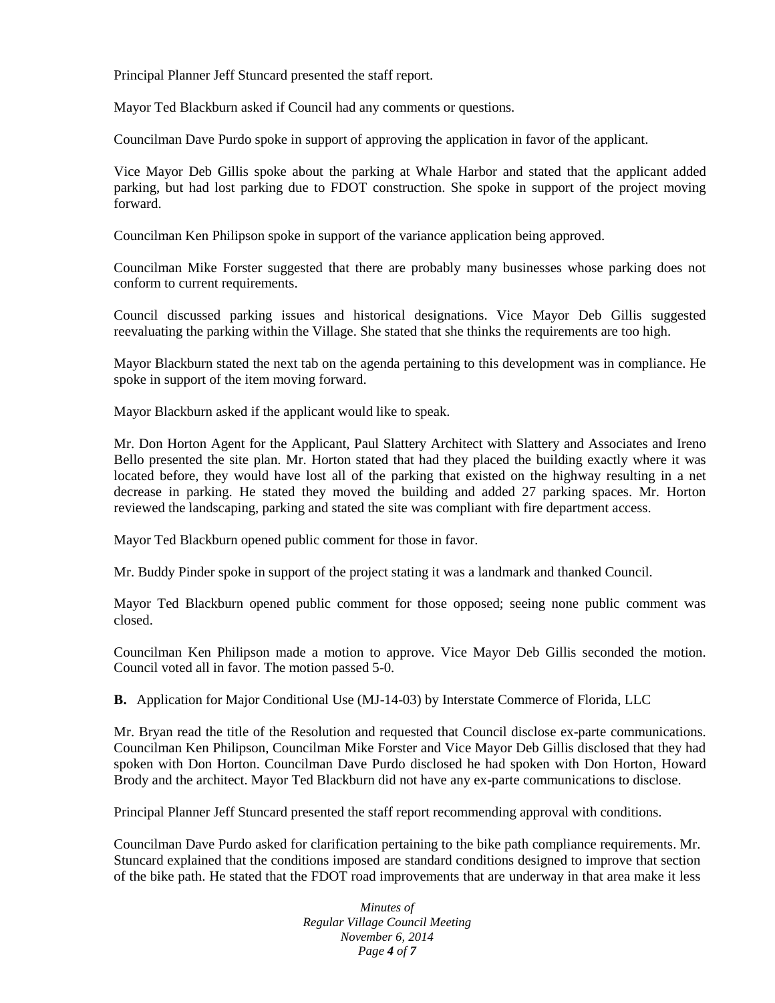Principal Planner Jeff Stuncard presented the staff report.

Mayor Ted Blackburn asked if Council had any comments or questions.

Councilman Dave Purdo spoke in support of approving the application in favor of the applicant.

Vice Mayor Deb Gillis spoke about the parking at Whale Harbor and stated that the applicant added parking, but had lost parking due to FDOT construction. She spoke in support of the project moving forward.

Councilman Ken Philipson spoke in support of the variance application being approved.

Councilman Mike Forster suggested that there are probably many businesses whose parking does not conform to current requirements.

Council discussed parking issues and historical designations. Vice Mayor Deb Gillis suggested reevaluating the parking within the Village. She stated that she thinks the requirements are too high.

Mayor Blackburn stated the next tab on the agenda pertaining to this development was in compliance. He spoke in support of the item moving forward.

Mayor Blackburn asked if the applicant would like to speak.

Mr. Don Horton Agent for the Applicant, Paul Slattery Architect with Slattery and Associates and Ireno Bello presented the site plan. Mr. Horton stated that had they placed the building exactly where it was located before, they would have lost all of the parking that existed on the highway resulting in a net decrease in parking. He stated they moved the building and added 27 parking spaces. Mr. Horton reviewed the landscaping, parking and stated the site was compliant with fire department access.

Mayor Ted Blackburn opened public comment for those in favor.

Mr. Buddy Pinder spoke in support of the project stating it was a landmark and thanked Council.

Mayor Ted Blackburn opened public comment for those opposed; seeing none public comment was closed.

Councilman Ken Philipson made a motion to approve. Vice Mayor Deb Gillis seconded the motion. Council voted all in favor. The motion passed 5-0.

**B.** Application for Major Conditional Use (MJ-14-03) by Interstate Commerce of Florida, LLC

Mr. Bryan read the title of the Resolution and requested that Council disclose ex-parte communications. Councilman Ken Philipson, Councilman Mike Forster and Vice Mayor Deb Gillis disclosed that they had spoken with Don Horton. Councilman Dave Purdo disclosed he had spoken with Don Horton, Howard Brody and the architect. Mayor Ted Blackburn did not have any ex-parte communications to disclose.

Principal Planner Jeff Stuncard presented the staff report recommending approval with conditions.

Councilman Dave Purdo asked for clarification pertaining to the bike path compliance requirements. Mr. Stuncard explained that the conditions imposed are standard conditions designed to improve that section of the bike path. He stated that the FDOT road improvements that are underway in that area make it less

> *Minutes of Regular Village Council Meeting November 6, 2014 Page 4 of 7*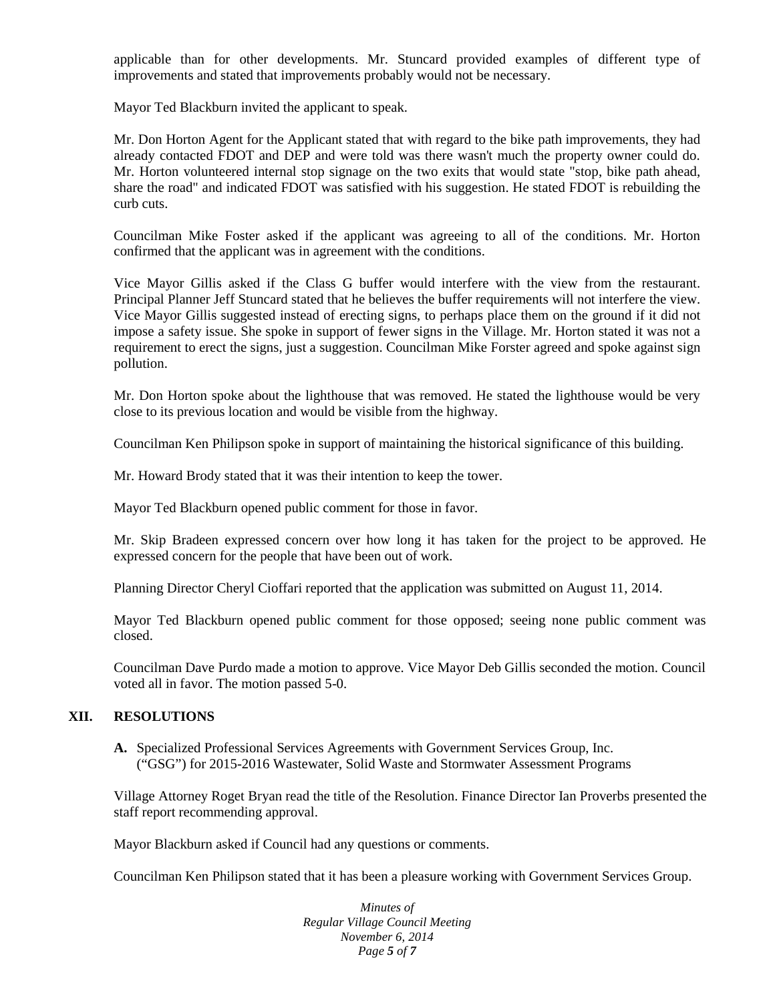applicable than for other developments. Mr. Stuncard provided examples of different type of improvements and stated that improvements probably would not be necessary.

Mayor Ted Blackburn invited the applicant to speak.

Mr. Don Horton Agent for the Applicant stated that with regard to the bike path improvements, they had already contacted FDOT and DEP and were told was there wasn't much the property owner could do. Mr. Horton volunteered internal stop signage on the two exits that would state "stop, bike path ahead, share the road" and indicated FDOT was satisfied with his suggestion. He stated FDOT is rebuilding the curb cuts.

Councilman Mike Foster asked if the applicant was agreeing to all of the conditions. Mr. Horton confirmed that the applicant was in agreement with the conditions.

Vice Mayor Gillis asked if the Class G buffer would interfere with the view from the restaurant. Principal Planner Jeff Stuncard stated that he believes the buffer requirements will not interfere the view. Vice Mayor Gillis suggested instead of erecting signs, to perhaps place them on the ground if it did not impose a safety issue. She spoke in support of fewer signs in the Village. Mr. Horton stated it was not a requirement to erect the signs, just a suggestion. Councilman Mike Forster agreed and spoke against sign pollution.

Mr. Don Horton spoke about the lighthouse that was removed. He stated the lighthouse would be very close to its previous location and would be visible from the highway.

Councilman Ken Philipson spoke in support of maintaining the historical significance of this building.

Mr. Howard Brody stated that it was their intention to keep the tower.

Mayor Ted Blackburn opened public comment for those in favor.

Mr. Skip Bradeen expressed concern over how long it has taken for the project to be approved. He expressed concern for the people that have been out of work.

Planning Director Cheryl Cioffari reported that the application was submitted on August 11, 2014.

Mayor Ted Blackburn opened public comment for those opposed; seeing none public comment was closed.

Councilman Dave Purdo made a motion to approve. Vice Mayor Deb Gillis seconded the motion. Council voted all in favor. The motion passed 5-0.

#### **XII. RESOLUTIONS**

**A.** Specialized Professional Services Agreements with Government Services Group, Inc. ("GSG") for 2015-2016 Wastewater, Solid Waste and Stormwater Assessment Programs

Village Attorney Roget Bryan read the title of the Resolution. Finance Director Ian Proverbs presented the staff report recommending approval.

Mayor Blackburn asked if Council had any questions or comments.

Councilman Ken Philipson stated that it has been a pleasure working with Government Services Group.

*Minutes of Regular Village Council Meeting November 6, 2014 Page 5 of 7*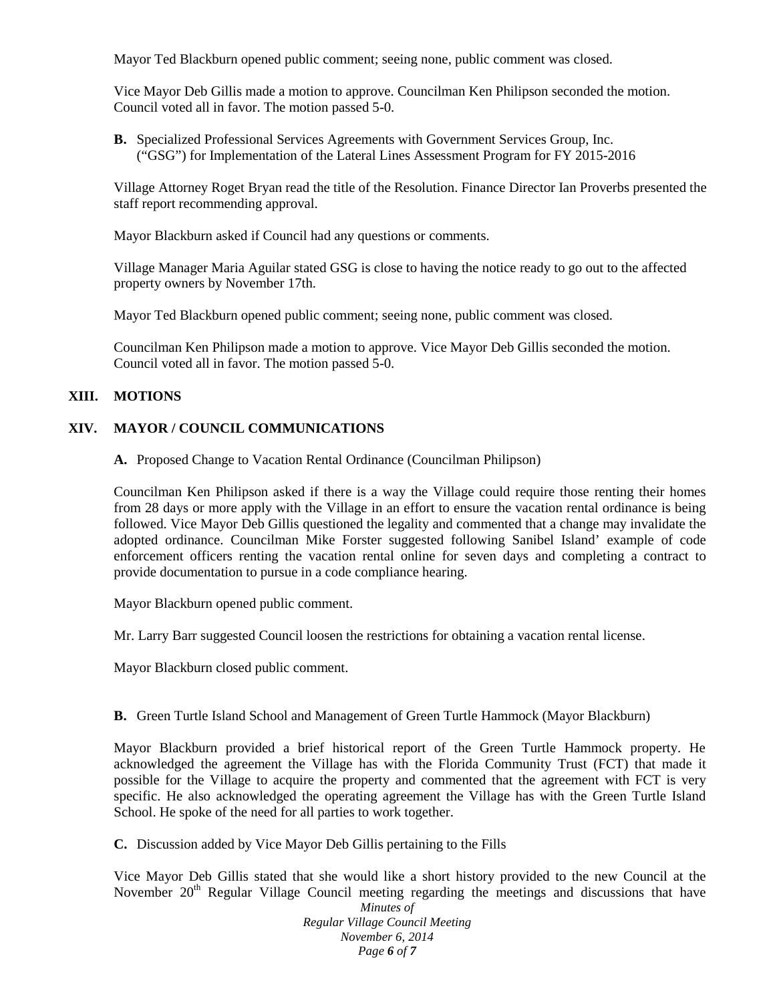Mayor Ted Blackburn opened public comment; seeing none, public comment was closed.

Vice Mayor Deb Gillis made a motion to approve. Councilman Ken Philipson seconded the motion. Council voted all in favor. The motion passed 5-0.

**B.** Specialized Professional Services Agreements with Government Services Group, Inc. ("GSG") for Implementation of the Lateral Lines Assessment Program for FY 2015-2016

Village Attorney Roget Bryan read the title of the Resolution. Finance Director Ian Proverbs presented the staff report recommending approval.

Mayor Blackburn asked if Council had any questions or comments.

Village Manager Maria Aguilar stated GSG is close to having the notice ready to go out to the affected property owners by November 17th.

Mayor Ted Blackburn opened public comment; seeing none, public comment was closed.

Councilman Ken Philipson made a motion to approve. Vice Mayor Deb Gillis seconded the motion. Council voted all in favor. The motion passed 5-0.

#### **XIII. MOTIONS**

## **XIV. MAYOR / COUNCIL COMMUNICATIONS**

**A.** Proposed Change to Vacation Rental Ordinance (Councilman Philipson)

Councilman Ken Philipson asked if there is a way the Village could require those renting their homes from 28 days or more apply with the Village in an effort to ensure the vacation rental ordinance is being followed. Vice Mayor Deb Gillis questioned the legality and commented that a change may invalidate the adopted ordinance. Councilman Mike Forster suggested following Sanibel Island' example of code enforcement officers renting the vacation rental online for seven days and completing a contract to provide documentation to pursue in a code compliance hearing.

Mayor Blackburn opened public comment.

Mr. Larry Barr suggested Council loosen the restrictions for obtaining a vacation rental license.

Mayor Blackburn closed public comment.

**B.** Green Turtle Island School and Management of Green Turtle Hammock (Mayor Blackburn)

Mayor Blackburn provided a brief historical report of the Green Turtle Hammock property. He acknowledged the agreement the Village has with the Florida Community Trust (FCT) that made it possible for the Village to acquire the property and commented that the agreement with FCT is very specific. He also acknowledged the operating agreement the Village has with the Green Turtle Island School. He spoke of the need for all parties to work together.

**C.** Discussion added by Vice Mayor Deb Gillis pertaining to the Fills

Vice Mayor Deb Gillis stated that she would like a short history provided to the new Council at the November  $20<sup>th</sup>$  Regular Village Council meeting regarding the meetings and discussions that have

*Minutes of Regular Village Council Meeting November 6, 2014 Page 6 of 7*